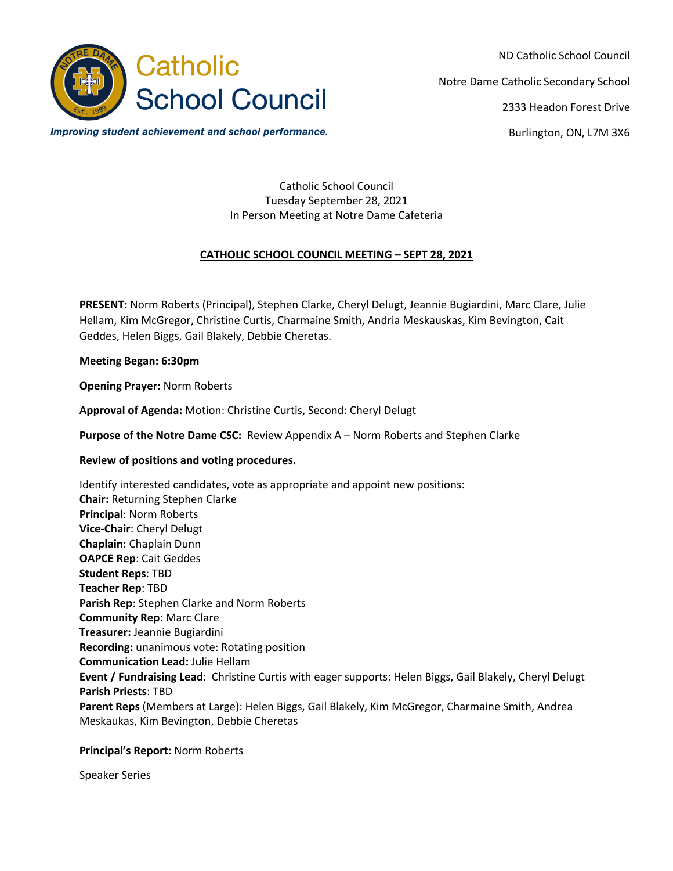

ND Catholic School Council Notre Dame Catholic Secondary School 2333 Headon Forest Drive

Burlington, ON, L7M 3X6

Improving student achievement and school performance.

Catholic School Council Tuesday September 28, 2021 In Person Meeting at Notre Dame Cafeteria

## **CATHOLIC SCHOOL COUNCIL MEETING – SEPT 28, 2021**

**PRESENT:** Norm Roberts (Principal), Stephen Clarke, Cheryl Delugt, Jeannie Bugiardini, Marc Clare, Julie Hellam, Kim McGregor, Christine Curtis, Charmaine Smith, Andria Meskauskas, Kim Bevington, Cait Geddes, Helen Biggs, Gail Blakely, Debbie Cheretas.

#### **Meeting Began: 6:30pm**

**Opening Prayer:** Norm Roberts

**Approval of Agenda:** Motion: Christine Curtis, Second: Cheryl Delugt

**Purpose of the Notre Dame CSC:** Review Appendix A – Norm Roberts and Stephen Clarke

#### **Review of positions and voting procedures.**

Identify interested candidates, vote as appropriate and appoint new positions: **Chair:** Returning Stephen Clarke **Principal**: Norm Roberts **Vice-Chair**: Cheryl Delugt **Chaplain**: Chaplain Dunn **OAPCE Rep**: Cait Geddes **Student Reps**: TBD **Teacher Rep**: TBD **Parish Rep**: Stephen Clarke and Norm Roberts **Community Rep**: Marc Clare **Treasurer:** Jeannie Bugiardini **Recording:** unanimous vote: Rotating position **Communication Lead:** Julie Hellam **Event / Fundraising Lead**: Christine Curtis with eager supports: Helen Biggs, Gail Blakely, Cheryl Delugt **Parish Priests**: TBD **Parent Reps** (Members at Large): Helen Biggs, Gail Blakely, Kim McGregor, Charmaine Smith, Andrea Meskaukas, Kim Bevington, Debbie Cheretas

#### **Principal's Report:** Norm Roberts

Speaker Series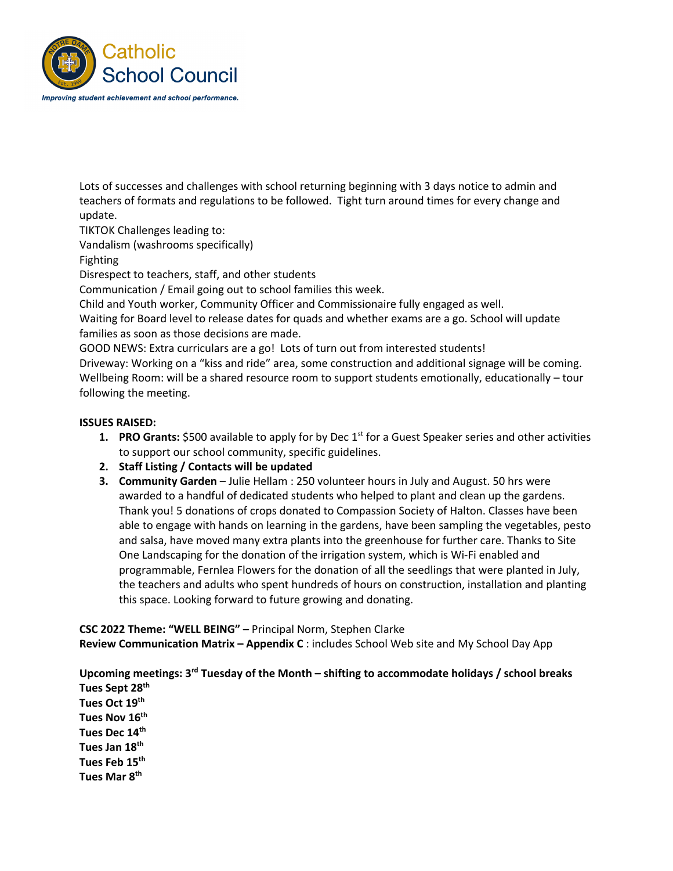

Lots of successes and challenges with school returning beginning with 3 days notice to admin and teachers of formats and regulations to be followed. Tight turn around times for every change and update.

TIKTOK Challenges leading to:

Vandalism (washrooms specifically)

Fighting

Disrespect to teachers, staff, and other students

Communication / Email going out to school families this week.

Child and Youth worker, Community Officer and Commissionaire fully engaged as well.

Waiting for Board level to release dates for quads and whether exams are a go. School will update families as soon as those decisions are made.

GOOD NEWS: Extra curriculars are a go! Lots of turn out from interested students!

Driveway: Working on a "kiss and ride" area, some construction and additional signage will be coming. Wellbeing Room: will be a shared resource room to support students emotionally, educationally – tour following the meeting.

### **ISSUES RAISED:**

- **1. PRO Grants:** \$500 available to apply for by Dec 1<sup>st</sup> for a Guest Speaker series and other activities to support our school community, specific guidelines.
- **2. Staff Listing / Contacts will be updated**
- **3. Community Garden** Julie Hellam : 250 volunteer hours in July and August. 50 hrs were awarded to a handful of dedicated students who helped to plant and clean up the gardens. Thank you! 5 donations of crops donated to Compassion Society of Halton. Classes have been able to engage with hands on learning in the gardens, have been sampling the vegetables, pesto and salsa, have moved many extra plants into the greenhouse for further care. Thanks to Site One Landscaping for the donation of the irrigation system, which is Wi-Fi enabled and programmable, Fernlea Flowers for the donation of all the seedlings that were planted in July, the teachers and adults who spent hundreds of hours on construction, installation and planting this space. Looking forward to future growing and donating.

**CSC 2022 Theme: "WELL BEING" –** Principal Norm, Stephen Clarke **Review Communication Matrix – Appendix C** : includes School Web site and My School Day App

**Upcoming meetings: 3rd Tuesday of the Month – shifting to accommodate holidays / school breaks Tues Sept 28th Tues Oct 19th Tues Nov 16th Tues Dec 14th Tues Jan 18th Tues Feb 15th Tues Mar 8th**